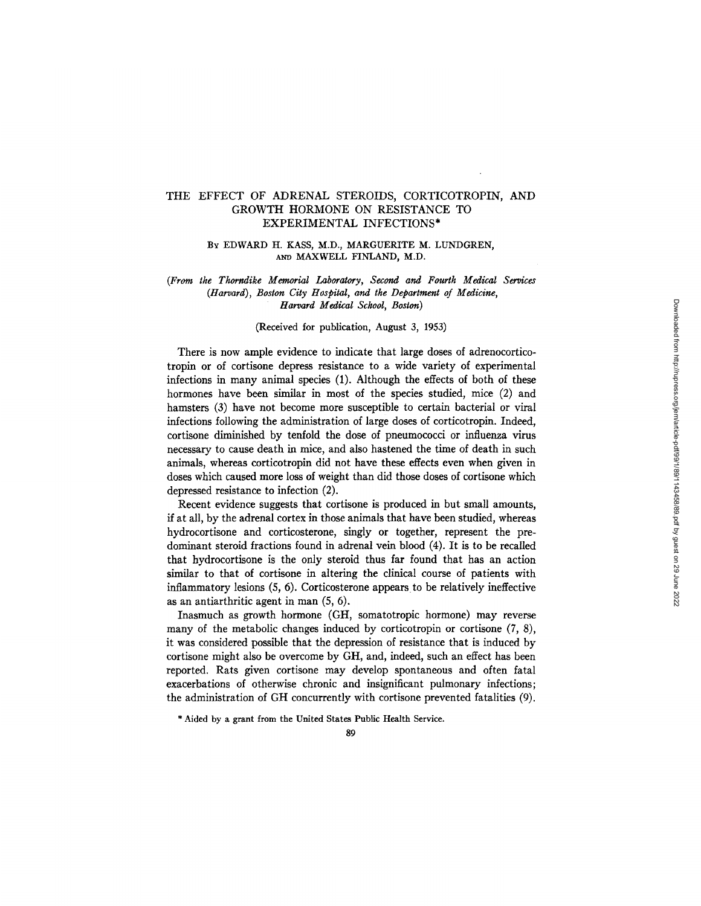# THE EFFECT OF ADRENAL STEROIDS, CORTICOTROPIN, AND GROWTH HORMONE ON RESISTANCE TO EXPERIMENTAL INFECTIONS\*

### BY EDWARD H. KASS, M.D., MARGUERITE M. LUNDGREN, AND MAXWELL FINLAND, M.D.

## *(From the Thorndike Memorial Laboratory, Second and Fourth Medical Services (Harvard), Boston City Hospital, and the Department of Medicine, Harvard Medical School, Boston)*

#### (Received for publication, August 3, 1953)

There is now ample evidence to indicate that large doses of adrenocorticotropin or of cortisone depress resistance to a wide variety of experimental infections in many animal species (1). Although the effects of both of these hormones have been similar in most of the species studied, mice (2) and hamsters (3) have not become more susceptible to certain bacterial or viral infections following the administration of large doses of corticotropin. Indeed, cortisone diminished by tenfold the dose of pneumococci or influenza virus necessary to cause death in mice, and also hastened the time of death in such animals, whereas corticotropin did not have these effects even when given in doses which caused more loss of weight than did those doses of cortisone which depressed resistance to infection (2).

Recent evidence suggests that cortisone is produced in but small amounts, if at all, by the adrenal cortex in those animals that have been studied, whereas hydrocortisone and corticosterone, singly or together, represent the predominant steroid fractions found in adrenal vein blood (4). It is to be recalled that hydrocortisone is the only steroid thus far found that has an action similar to that of cortisone in altering the clinical course of patients with inflammatory lesions (5, 6). Corticosterone appears to be relatively ineffective as an antiarthritic agent in man (5, 6).

Inasmuch as growth hormone (GH, somatotropic hormone) may reverse many of the metabolic changes induced by corticotropin or cortisone (7, 8), it was considered possible that the depression of resistance that is induced by cortisone might also be overcome by GH, and, indeed, such an effect has been reported. Rats given cortisone may develop spontaneous and often fatal exacerbations of otherwise chronic and insignificant pulmonary infections; the administration of GH concurrently with cortisone prevented fatalities (9).

<sup>\*</sup> Aided by a grant from the United States Public Health Service.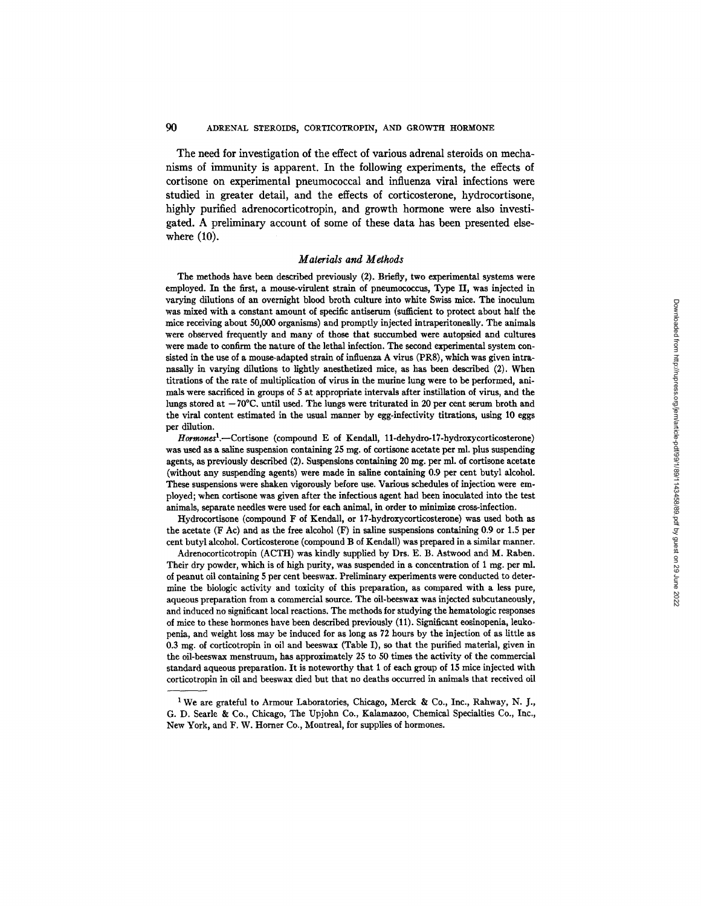### 90 ADRENAL STEROIDS, CORTICOTROPIN, AND GROWTH HORMONE

The need for investigation of the effect of various adrenal steroids on mechanisms of immunity is apparent. In the following experiments, the effects of cortisone on experimental pneumococcal and influenza viral infections were studied in greater detail, and the effects of corticosterone, hydrocortisone, highly purified adrenocorticotropin, and growth hormone were also investigated. A preliminary account of some of these data has been presented elsewhere (10).

#### *Materials and Methods*

The methods have been described previously (2). Briefly, two experimental systems were employed. In the first, a mouse-virulent strain of pneumococcus, Type IX, was injected in varying dilutions of an overnight blood broth culture into white Swiss mice. The inoculum was mixed with a constant amount of specific antiserum (sufficient to protect about half the mice receiving about 50,000 organisms) and promptly injected intraperitoneally. The animals were observed frequently and many of those that succumbed were autopsied and cultures were made to confirm the nature of the lethal infection. The second experimental system consisted in the use of a mouse-adapted strain of influenza A virus (PR8), which was given intranasally in varying dilutions to lightly anesthetized mice, as has been described (2). When titrations of the rate of multiplication of virus in the murine lung were to be performed, animals were sacrificed in groups of 5 at appropriate intervals after instillation of virus, and the lungs stored at  $-70^{\circ}$ C. until used. The lungs were triturated in 20 per cent serum broth and the viral content estimated in the usual manner by egg-infectivity titrations, using 10 eggs per dilution.

*Hormonesl.--Cortisone* (compound E of Kendall, 11-dehydro-17-hydroxycorticosterone) was used as a saline suspension containing 25 mg. of cortisone acetate per ml. plus suspending agents, as previously described (2). Suspensions containing 20 mg. per ml. of cortisone acetate (without any suspending agents) were made in saline containing 0.9 per cent butyl alcohol. These suspensions were shaken vigorously before use. Various schedules of injection were employed; when cortisone was given after the infectious agent had been inoculated into the test animals, separate needles were used for each animal, in order to minimize cross-infectiun.

Hydrocortisone (compound F of Kendall, or 17-hydroxycorticosterone) was used both as the acetate (F Ac) and as the free alcohol (F) in saline suspensions containing 0.9 or 1.5 per cent butyl alcohol. Corticosterone (compound B of Kendall) was prepared in a similar manner.

Adrenocorticotropin (ACTH) was kindly supplied by Drs. E. B. Astwood and M. Raben. Their dry powder, which is of high purity, was suspended in a concentration of 1 mg. per ml. of peanut oil containing 5 per cent beeswax. Preliminary experiments were conducted to determine the biologic activity and toxicity of this preparation, as compared with a less pure, aqueous preparation from a commercial source. The oil-beeswax was injected subcutaneously, and induced no significant local reactions. The methods for studying the hematologic responses of mice to these hormones have been described previously (11). Significant eosinopenia, leukopenis, and weight loss may be induced for as long as 72 hours by the injection of as little as 0.3 mg. of corticotropin in oil and beeswax (Table I), so that the purified material, given in the oil-beeswax menstruum, has approximately 25 to 50 times the activity of the commercial standard aqueous preparation. It is noteworthy that 1 of each group of 15 mice injected with corticotropin in oil and beeswax died but that no deaths occurred in animals that received oil

<sup>1</sup> We are grateful to Armour Laboratories, Chicago, Merck & Co., Inc., Rahway, N. J., G. D. Searie & Co., Chicago, The Upjohn Co., Kalamazoo, Chemical Specialties Co., Inc., New York, and F. W. Homer Co., Montreal, for supplies of hormones.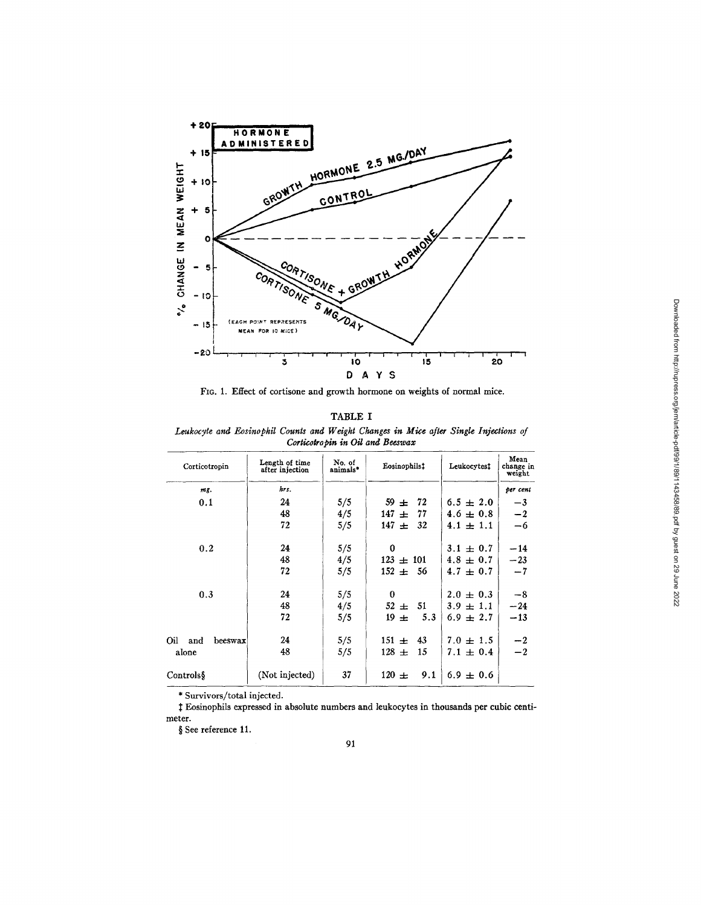

FIG. 1. Effect of cortisone and growth hormone on weights of normal mice.

TABLE I Leukocyte and Eosinophil Counts and Weight Changes in Mice after Single Injections of Corticotropin in Oil and Beeswax

| Corticotropin         | Length of time<br>after injection | No. of<br>animals* | Eosinophils:     | Leukocytes!   | Mean<br>change in<br>weight |
|-----------------------|-----------------------------------|--------------------|------------------|---------------|-----------------------------|
| mg.                   | hrs.                              |                    |                  |               | per cent                    |
| 0.1                   | 24                                | 5/5                | 72<br>$59 \pm$   | $6.5 \pm 2.0$ | $-3$                        |
|                       | 48                                | 4/5                | 147 $\pm$<br>77  | $4.6 \pm 0.8$ | $-2$                        |
|                       | 72                                | 5/5                | 147 $\pm$<br>32  | $4.1 \pm 1.1$ | $-6$                        |
| 0.2                   | 24                                | 5/5                | $\Omega$         | $3.1 \pm 0.7$ | $-14$                       |
|                       | 48                                | 4/5                | $123 \pm 101$    | $4.8 \pm 0.7$ | $-23$                       |
|                       | 72                                | 5/5                | $152 \pm 56$     | $4.7 \pm 0.7$ | $-7$                        |
| 0.3                   | 24                                | 5/5                | 0                | $2.0 \pm 0.3$ | $-8$                        |
|                       | 48                                | 4/5                | - 51<br>$52 \pm$ | $3.9 \pm 1.1$ | $-24$                       |
|                       | 72                                | 5/5                | 5.3<br>$19 \pm$  | $6.9 \pm 2.7$ | $-13$                       |
| Oil<br>beeswax<br>and | 24                                | 5/5                | 43<br>$151 \pm$  | $7.0 \pm 1.5$ | $^{-2}$                     |
| alone                 | 48                                | 5/5                | $128 \pm$<br>15  | $7.1 \pm 0.4$ | $-2$                        |
| Controls§             | (Not injected)                    | 37                 | 120 $\pm$<br>9.1 | $6.9 \pm 0.6$ |                             |

\* Survivors/total injected.

# Eosinophils expressed in absolute numbers and leukocytes in thousands per cubic centi- $\,$  meter.

§ See reference 11.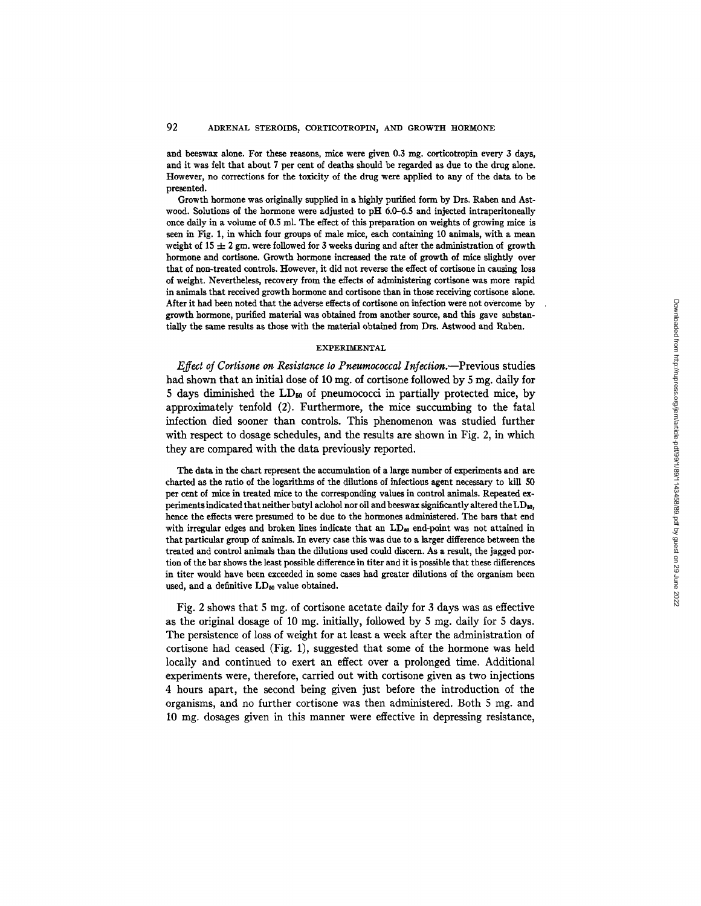and beeswax alone. For these reasons, mice were given 0.3 mg, corticotropin every 3 days, and it was felt that about 7 per cent of deaths should be regarded as due to the drug alone. However, no corrections for the toxicity of the drug were applied to any of the data to be presented.

Growth hormone was originally supplied in a highly purified form by Drs. Raben and Astwood. Solutions of the hormone were adjusted to pH 6.0-6.5 and injected intraperitoneally once daily in a volume of 0.5 ml. The effect of this preparation on weights of growing mice is seen in Fig. 1, in which four groups of male mice, each containing 10 animals, with a mean weight of  $15 \pm 2$  gm. were followed for 3 weeks during and after the administration of growth hormone and cortisone. Growth hormone increased the rate of growth of mice slightly over that of non-treated controls. However, it did not reverse the effect of cortisone in causing loss of weight. Nevertheless, recovery from the effects of administering cortisone was more rapid in animals that received growth hormone and cortisone than in those receiving cortisone alone. After it had been noted that the adverse effects of cortisone on infection were not overcome by growth hormone, purified material was obtained from another source, and this gave substantially the same results as those with the material obtained from Drs. Astwood and Raben.

#### EXPERIMENTAL

*Effect of Cortisone on Resistance to Pneumococcal Infection.*--Previous studies had shown that an initial dose of  $10 \text{ mg}$ , of cortisone followed by 5 mg, daily for 5 days diminished the  $LD_{50}$  of pneumococci in partially protected mice, by approximately tenfold (2). Furthermore, the mice succumbing to the fatal infection died sooner than controls. This phenomenon was studied further with respect to dosage schedules, and the results are shown in Fig. 2, in which they are compared with the data previously reported.

The data in the chart represent the accumulation of a large number of experiments and are charted as the ratio of the logarithms of the dilutions of infectious agent necessary to kill 50 per cent of mice in treated mice to the corresponding values in control animals. Repeated experiments indicated that neither butyl aclohol nor oil and beeswax significantly altered the  $LD_{10}$ , hence the effects were presumed to be due to the hormones administered. The bars that end with irregular edges and broken lines indicate that an  $LD_{60}$  end-point was not attained in that particular group of animals. In every case this was due to a larger difference between the treated and control animals than the dilutions used could discern. As a result, the jagged portion of the bar shows the least possible difference in titer and it is possible that these differences in titer would have been exceeded in some cases had greater dilutions of the organism been used, and a definitive LD<sub>50</sub> value obtained.

Fig. 2 shows that 5 mg. of cortisone acetate daily for 3 days was as effective as the original dosage of 10 mg. initially, followed by S mg. daily for 5 days. The persistence of loss of weight for at least a week after the administration of cortisone had ceased (Fig. 1), suggested that some of the hormone was held locally and continued to exert an effect over a prolonged time. Additional experiments were, therefore, carried out with cortisone given as two injections 4 hours apart, the second being given just before the introduction of the organisms, and no further cortisone was then administered. Both 5 mg. and 10 mg. dosages given in this manner were effective in depressing resistance,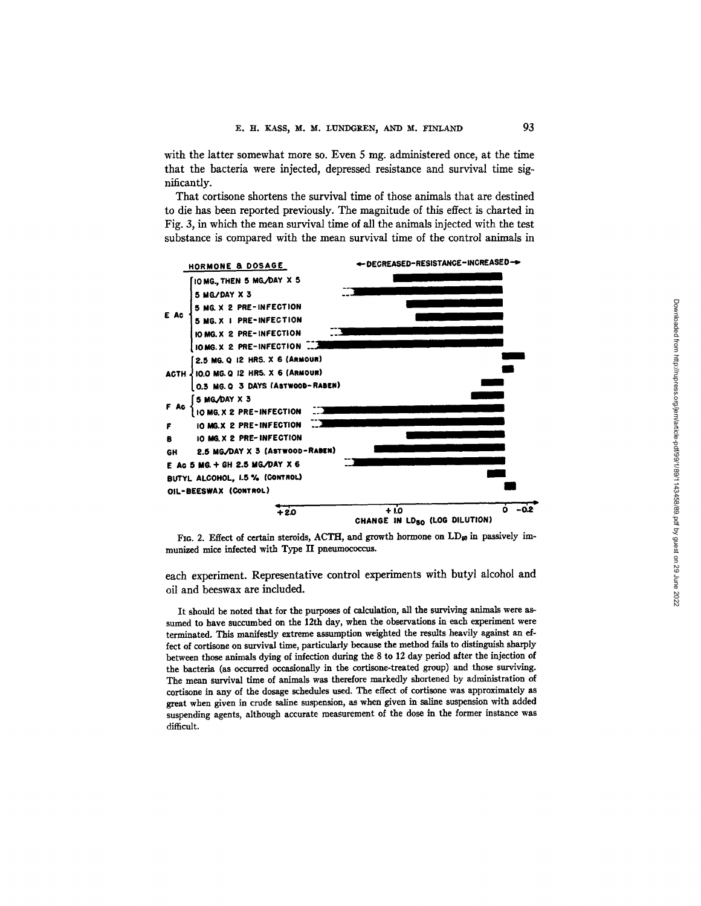with the latter somewhat more so. Even 5 mg, administered once, at the time that the bacteria were injected, depressed resistance and survival time significantly.

That cortisone shortens the survival time of those animals that are destined to die has been reported previously. The magnitude of this effect is charted in Fig. 3, in which the mean survival time of all the animals injected with the test substance is compared with the mean survival time of the control animals in



FIG. 2. Effect of certain steroids, ACTH, and growth hormone on LD<sub>s0</sub> in passively immunized mice infected with Type II pneumococcus.

each experiment. Representative control experiments with butyl alcohol and oil and beeswax are included.

It should be noted that for the purposes of calculation, all the surviving animals were assumed to have succumbed on the 12th day, when the observations in each experiment were terminated. This manifestly extreme assumption weighted the results heavily against an effect of cortisone on survival time, particularly because the method fails to distinguish sharply between those animals dying of infection during the 8 to 12 day period after the injection of the bacteria (as occurred occasionally in the cortisone-treated group) and those surviving. The mean survival time of animals was therefore markedly shortened by administration of cortisone in any of the dosage schedules used. The effect of cortisone was approximately as great when given in crude saline suspension, as when given in saline suspension with added suspending agents, although accurate measurement of the dose in the former instance was difficult.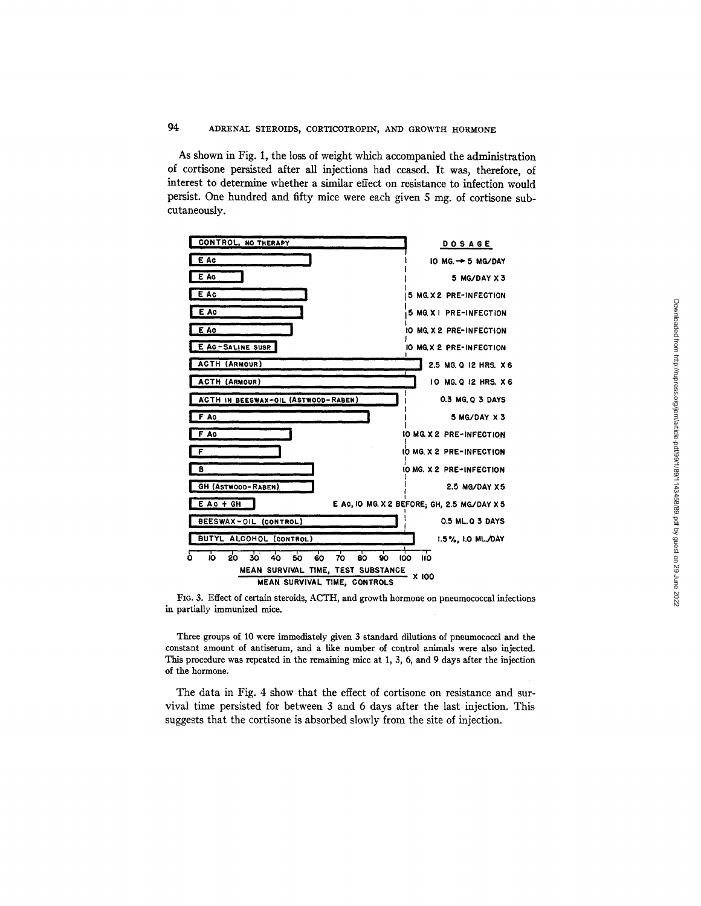As shown in Fig. 1, the loss of weight which accompanied the administration of cortisone persisted after all injections had ceased. It was, therefore, of interest to determine whether a similar effect on resistance to infection would persist. One hundred and fifty mice were each given 5 mg. of cortisone subcutaneously.



FIG. 3. Effect of certain steroids, ACTH, and growth hormone on pneumococcal infections in partially immunized mice.

Three groups of 10 were immediately given 3 standard dilutions of pneumococci and the constant amount of antiserum, and a like number of control animals were also injected. This procedure was repeated in the remaining mice at 1, 3, 6, and 9 days after the injection of the hormone.

The data in Fig. 4 show that the effect of cortisone on resistance and survival time persisted for between 3 and 6 days after the last injection. This suggests that the cortisone is absorbed slowly from the site of injection.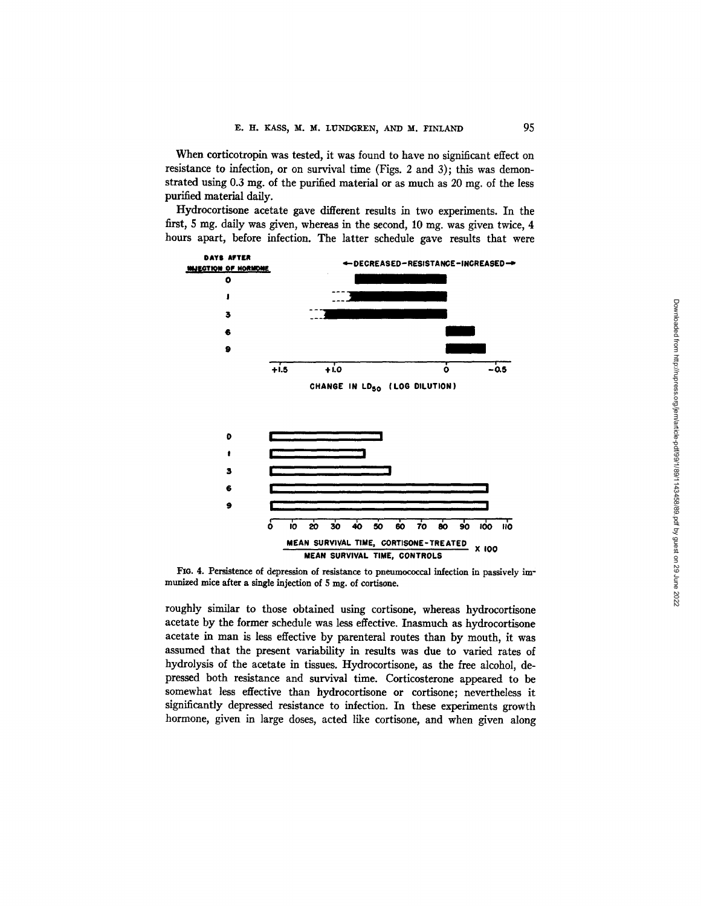When corticotropin was tested, it was found to have no significant effect on resistance to infection, or on survival time (Figs. 2 and 3); this was demonstrated using 0.3 mg. of the purified material or as much as 20 mg. of the less purified material daily.

Hydrocortisone acetate gave different results in two experiments. In the first, 5 mg. daily was given, whereas in the second, 10 mg. was given twice, 4 hours apart, before infection. The latter schedule gave results that were



FIG. 4. Persistence of depression of resistance to pneumococcal infection in passively immunized mice after a single injection of 5 mg. of cortisone.

roughly similar to those obtained using cortisone, whereas hydrocortisone acetate by the former schedule was less effective. Inasmuch as hydrocortisone acetate in man is less effective by parenteral routes than by mouth, it was assumed that the present variability in results was due to varied rates of hydrolysis of the acetate in tissues. Hydrocortisone, as the free alcohol, depressed both resistance and survival time. Corticosterone appeared to be somewhat less effective than hydrocortisone or cortisone; nevertheless it significantly depressed resistance to infection. In these experiments growth hormone, given in large doses, acted like cortisone, and when given along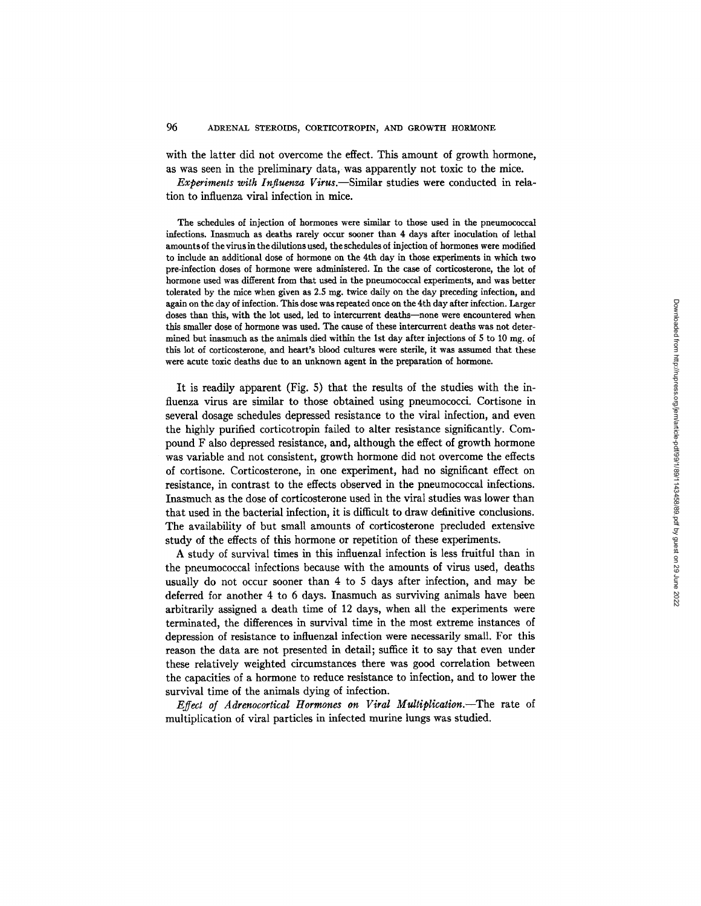with the latter did not overcome the effect. This amount of growth hormone, as was seen in the preliminary data, was apparently not toxic to the mice.

*Experiments with Influenza Virus.--Similar* studies were conducted in relation to influenza viral infection in mice.

The schedules of injection of hormones were similar to those used in the pneumococcai infections. Inasmuch as deaths rarely occur sooner than 4 days after inoculation of lethal amounts of the virus in the dilutions used, the schedules of injection of hormones were modified to include an additional dose of hormone on the 4th day in those experiments in which two pre-infection doses of hormone were administered. In the ease of corticosterone, the lot of hormone used was different from that used in the pneumococeal experiments, and was better tolerated by the mice when given as 2.5 mg. twice daily on the day preceding infection, and again on the day of infection. This dose was repeated once on the 4th day after infection. Larger doses than this, with the lot used, led to intercurrent deaths--none were encountered when this smaller dose of hormone was used. The cause of these intercurrent deaths was not determined but inasmuch as the animals died within the 1st day after injections of 5 to 10 mg. of this lot of corticosterone, and heart's blood cultures were sterile, it was assumed that these were acute toxic deaths due to an unknown agent in the preparation of hormone.

It is readily apparent (Fig. 5) that the results of the studies with the influenza virus are similar to those obtained using pneumococci. Cortisone in several dosage schedules depressed resistance to the viral infection, and even the highly purified corticotropin failed to alter resistance significantly. Compound F also depressed resistance, and, although the effect of growth hormone was variable and not consistent, growth hormone did not overcome the effects of cortisone. Corticosterone, in one experiment, had no significant effect on resistance, in contrast to the effects observed in the pneumococcal infections. Inasmuch as the dose of corticosterone used in the viral studies was lower than that used in the bacterial infection, it is difficult to draw definitive conclusions. The availability of but small amounts of corticosterone precluded extensive study of the effects of this hormone or repetition of these experiments.

A study of survival times in this influenzal infection is less fruitful than in the pneumococcal infections because with the amounts of virus used, deaths usually do not occur sooner than 4 to 5 days after infection, and may be deferred for another 4 to 6 days. Inasmuch as surviving animals have been arbitrarily assigned a death time of 12 days, when all the experiments were terminated, the differences in survival time in the most extreme instances of depression of resistance to influenzal infection were necessarily small. For this reason the data are not presented in detail; suffice it to say that even under these relatively weighted circumstances there was good correlation between the capacities of a hormone to reduce resistance to infection, and to lower the survival time of the animals dying of infection.

*Effect of Adrenocortical Hormones on Viral Multiplication.--The* rate of multiplication of viral particles in infected murine lungs was studied.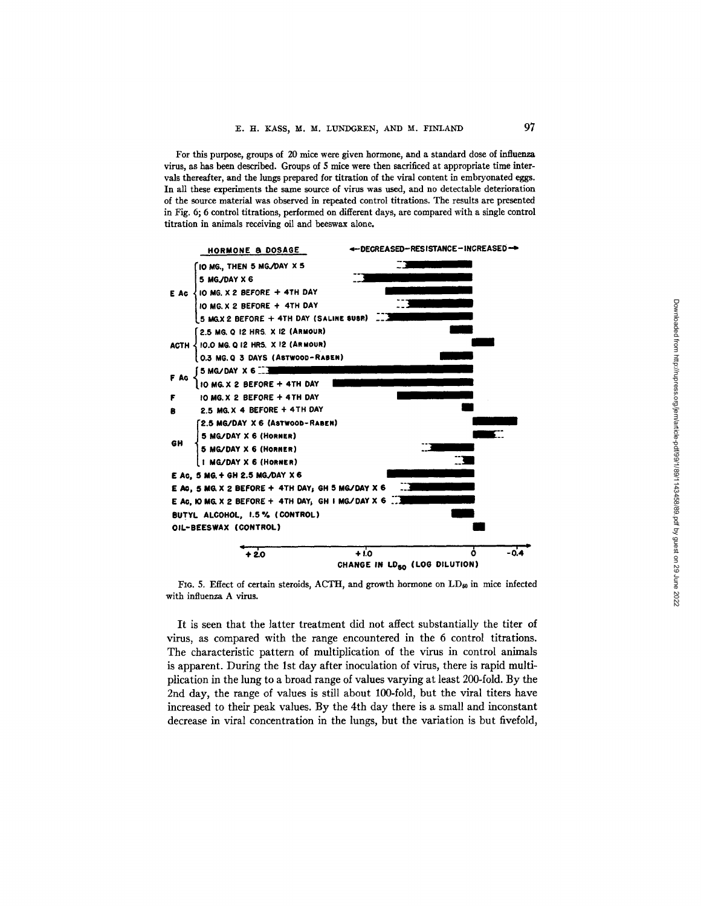For this purpose, groups of 20 mice were given hormone, and a standard dose of influenza virus, as has been described. Groups of 5 mice were then sacrificed at appropriate time intervals thereafter, and the lungs prepared for titration of the viral content in embryonated eggs. In all these experiments the same source of virus was used, and no detectable deterioration of the source material was observed in repeated control titrafions. The results are presented in Fig. 6; 6 control fitrations, performed on different days, are compared with a single control titration in animals receiving oil and beeswax alone.



FIG. 5. Effect of certain steroids, ACTH, and growth hormone on  $LD_{60}$  in mice infected with influenza A virus.

It is seen that the latter treatment did not affect substantially the titer of virus, as compared with the range encountered in the 6 control titrations. The characteristic pattern of multiplication of the virus in control animals is apparent. During the 1st day after inoculation of virus, there is rapid multiplication in the lung to a broad range of values varying at least 200-fold. By the 2nd day, the range of values is still about 100-fold, but the viral titers have increased to their peak values. By the 4th day there is a small and inconstant decrease in viral concentration in the lungs, but the variation is but fivefold,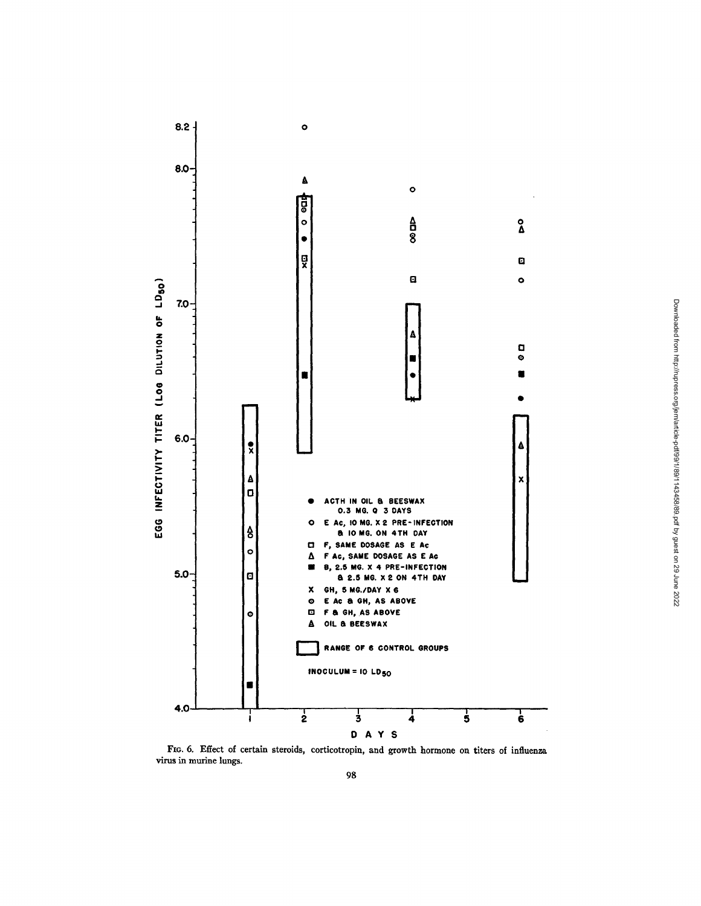

FIG. 6. Effect of certain steroids, corticotropin, and growth hormone on titers of influenza virus in murine lungs.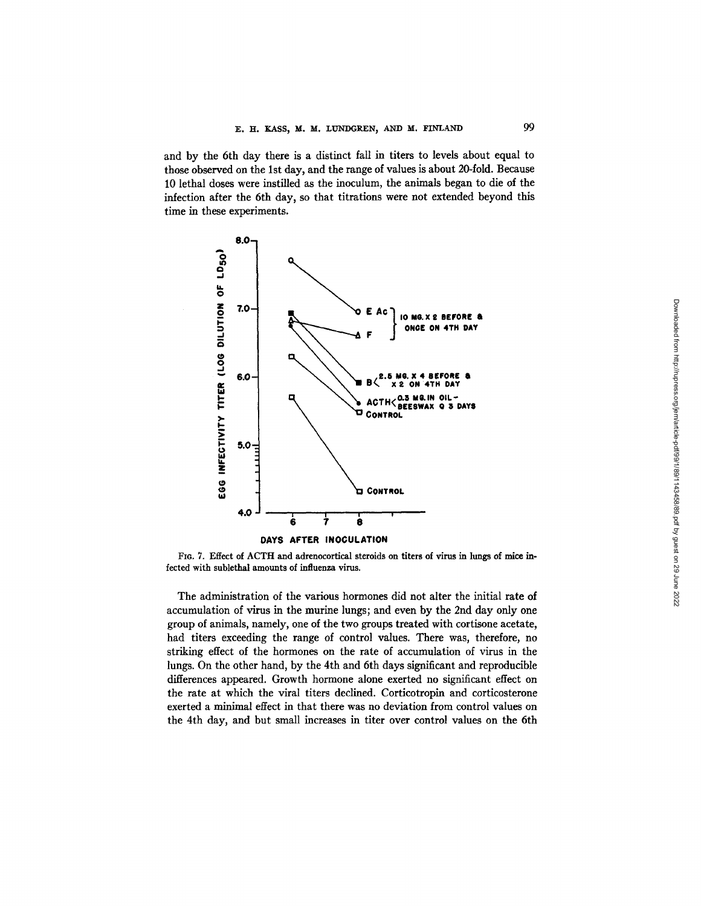and by the 6th day there is a distinct fall in titers to levels about equal to those observed on the 1st day, and the range of values is about 20-fold. Because 10 lethal doses were instilled as the inoculum, the animals began to die of the infection after the 6th day, so that titrations were not extended beyond this time in these experiments.



FIG. 7. Effect of ACTH and adrenocortical steroids on titers of virus in lungs of mice infected with sublethal amounts of influenza virus.

The administration of the various hormones did not alter the initial rate of accumulation of virus in the murine lungs; and even by the 2nd day only one group of animals, namely, one of the two groups treated with cortisone acetate, had titers exceeding the range of control values. There was, therefore, no striking effect of the hormones on the rate of accumulation of virus in the lungs. On the other hand, by the 4th and 6th days significant and reproducible differences appeared. Growth hormone alone exerted no significant effect on the rate at which the viral titers declined. Corticotropin and corticosterone exerted a minimal effect in that there was no deviation from control values on the 4th day, and but small increases in titer over control values on the 6th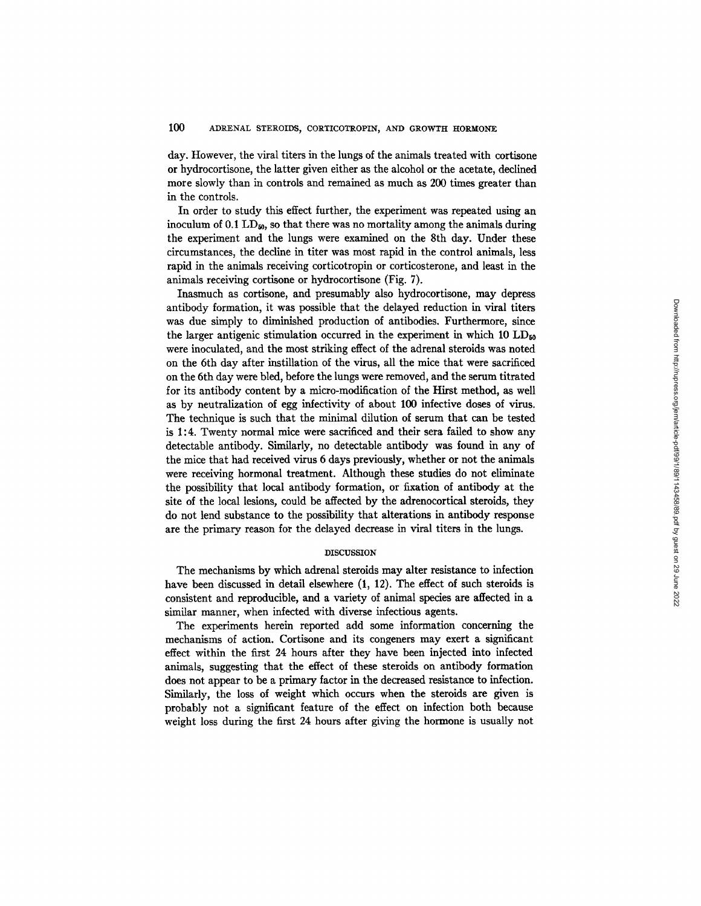day. However, the viral titers in the lungs of the animals treated with cortisone or hydrocortisone, the latter given either as the alcohol or the acetate, declined more slowly than in controls and remained as much as 200 times greater than in the controls.

In order to study this effect further, the experiment was repeated using an inoculum of  $0.1$  LD $_{50}$ , so that there was no mortality among the animals during the experiment and the lungs were examined on the 8th day. Under these circumstances, the decline in titer was most rapid in the control animals, less rapid in the animals receiving corticotropin or corticosterone, and least in the animals receiving cortisone or hydrocortisone (Fig. 7).

Inasmuch as cortisone, and presumably also hydrocortisone, may depress antibody formation, it was possible that the delayed reduction in viral titers was due simply to diminished production of antibodies. Furthermore, since the larger antigenic stimulation occurred in the experiment in which 10  $LD_{50}$ were inoculated, and the most striking effect of the adrenal steroids was noted on the 6th day after instillation of the virus, all the mice that were sacrificed on the 6th day were bled, before the lungs were removed, and the serum titrated for its antibody content by a micro-modification of the Hirst method, as well as by neutralization of egg infectivity of about 100 infective doses of virus. The technique is such that the minimal dilution of serum that can be tested is 1:4. Twenty normal mice were sacrificed and their sera failed to show any detectable antibody. Similarly, no detectable antibody was found in any of the mice that had received virus 6 days previously, whether or not the animals were receiving hormonal treatment. Although these studies do not eliminate the possibility that local antibody formation, or fixation of antibody at the site of the local lesions, could be affected by the adrenocortical steroids, they do not lend substance to the possibility that alterations in antibody response are the primary reason for the delayed decrease in viral titers in the lungs.

#### **DISCUSSION**

The mechanisms by which adrenal steroids may alter resistance to infection have been discussed in detail elsewhere (1, 12). The effect of such steroids is consistent and reproducible, and a variety of animal species are affected in a similar manner, when infected with diverse infectious agents.

The experiments herein reported add some information concerning the mechanisms of action. Cortisone and its congeners may exert a significant effect within the first 24 hours after they have been injected into infected animals, suggesting that the effect of these steroids on antibody formation does not appear to be a primary factor in the decreased resistance to infection. Similarly, the loss of weight which occurs when the steroids are given is probably not a significant feature of the effect on infection both because weight loss during the first 24 hours after giving the hormone is usually not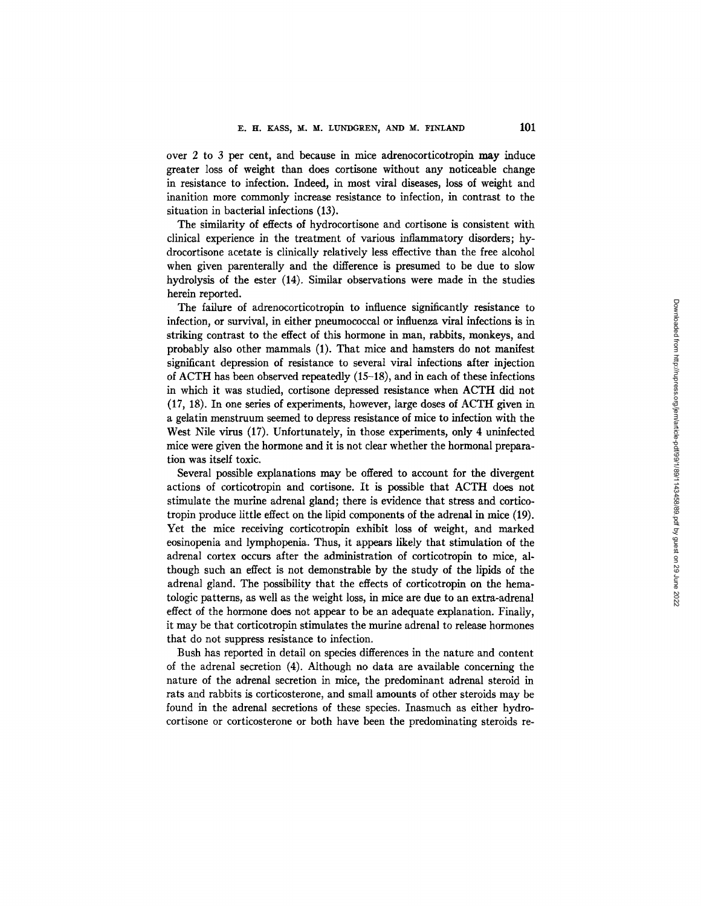over 2 to 3 per cent, and because in mice adrenocorticotropin may induce greater loss of weight than does cortisone without any noticeable change in resistance to infection. Indeed, in most viral diseases, loss of weight and inanition more commonly increase resistance to infection, in contrast to the situation in bacterial infections (13).

The similarity of effects of hydrocortisone and cortisone is consistent with clinical experience in the treatment of various inflammatory disorders; hydrocortisone acetate is clinically relatively less effective than the free alcohol when given parenterally and the difference is presumed to be due to slow hydrolysis of the ester (14). Similar observations were made in the studies herein reported.

The failure of adrenocorticotropin to influence significantly resistance to infection, or survival, in either pneumococcal or influenza viral infections is in striking contrast to the effect of this hormone in man, rabbits, monkeys, and probably also other mammals (1). That mice and hamsters do not manifest significant depression of resistance to several viral infections after injection of ACTH has been observed repeatedly (15-18), and in each of these infections in which it was studied, cortisone depressed resistance when ACTH did not (17, 18). In one series of experiments, however, large doses of ACTH given in a gelatin menstruum seemed to depress resistance of mice to infection with the West Nile virus (17). Unfortunately, in those experiments, only 4 uninfected mice were given the hormone and it is not clear whether the hormonal preparation was itself toxic.

Several possible explanations may be offered to account for the divergent actions of corticotropin and cortisone. It is possible that ACTH does not stimulate the murine adrenal gland; there is evidence that stress and corticotropin produce little effect on the lipid components of the adrenal in mice (19). Yet the mice receiving corticotropin exhibit loss of weight, and marked eosinopenia and lymphopenia. Thus, it appears likely that stimulation of the adrenal cortex occurs after the administration of corticotropin to mice, although such an effect is not demonstrable by the study of the lipids of the adrenal gland. The possibility that the effects of corticotropin on the hematologic patterns, as well as the weight loss, in mice are due to an extra-adrenal effect of the hormone does not appear to be an adequate explanation. Finally, it may be that corticotropin stimulates the murine adrenal to release hormones that do not suppress resistance to infection.

Bush has reported in detail on species differences in the nature and content of the adrenal secretion (4). Although no data are available concerning the nature of the adrenal secretion in mice, the predominant adrenal steroid in rats and rabbits is corticosterone, and small amounts of other steroids may be found in the adrenal secretions of these species. Inasmuch as either hydrocortisone or corticosterone or both have been the predominating steroids re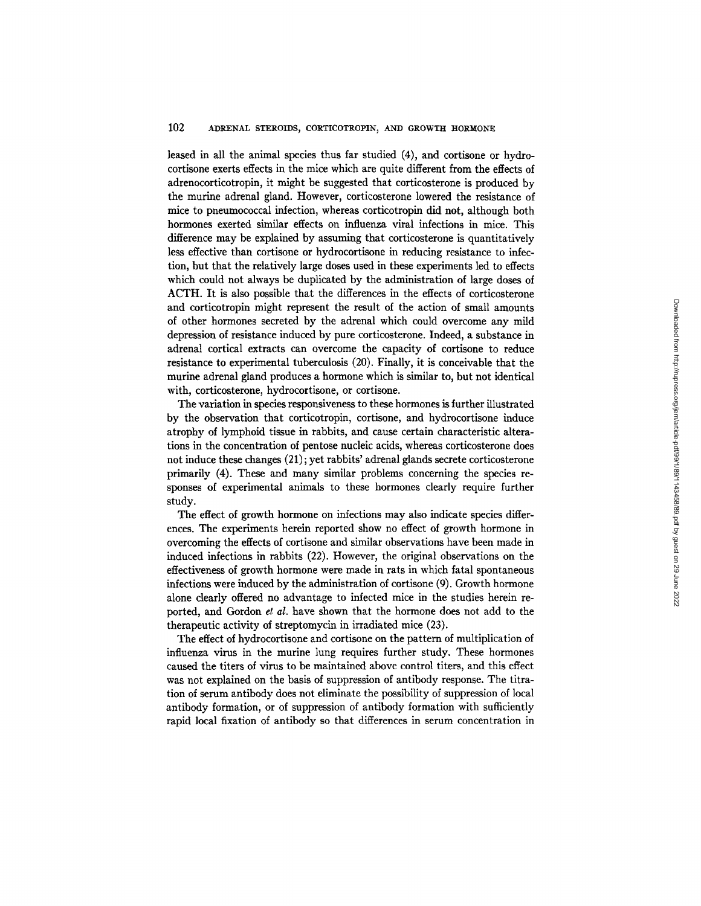leased in all the animal species thus far studied (4), and cortisone or hydrocortisone exerts effects in the mice which are quite different from the effects of adrenocorticotropin, it might be suggested that corticosterone is produced by the murine adrenal gland. However, corticosterone lowered the resistance of mice to pneumococcal infection, whereas corticotropin did not, although both hormones exerted similar effects on influenza viral infections in mice. This difference may be explained by assuming that corticosterone is quantitatively less effective than cortisone or hydrocortisone in reducing resistance to infection, but that the relatively large doses used in these experiments led to effects which could not always be duplicated by the administration of large doses of ACTH. It is also possible that the differences in the effects of corticosterone and corticotropin might represent the result of the action of small amounts of other hormones secreted by the adrenal which could overcome any mild depression of resistance induced by pure corticosterone. Indeed, a substance in adrenal cortical extracts can overcome the capacity of cortisone to reduce resistance to experimental tuberculosis (20). Finally, it is conceivable that the murine adrenal gland produces a hormone which is similar to, but not identical with, corticosterone, hydrocortisone, or cortisone.

The variation in species responsiveness to these hormones is further illustrated by the observation that corticotropin, cortisone, and hydrocortisone induce atrophy of lymphoid tissue in rabbits, and cause certain characteristic alterations in the concentration of pentose nucleic acids, whereas corticosterone does not induce these changes (21); yet rabbits' adrenal glands secrete corticosterone primarily (4). These and many similar problems concerning the species responses of experimental animals to these hormones clearly require further study.

The effect of growth hormone on infections may also indicate species differences. The experiments herein reported show no effect of growth hormone in overcoming the effects of cortisone and similar observations have been made in induced infections in rabbits (22). However, the original observations on the effectiveness of growth hormone were made in rats in which fatal spontaneous infections were induced by the administration of cortisone (9). Growth hormone alone clearly offered no advantage to infected mice in the studies herein reported, and Gordon *et al.* have shown that the hormone does not add to the therapeutic activity of streptomycin in irradiated mice (23).

The effect of hydrocortisone and cortisone on the pattern of multiplication of influenza virus in the murine lung requires further study. These hormones caused the titers of virus to be maintained above control titers, and this effect was not explained on the basis of suppression of antibody response. The titration of serum antibody does not eliminate the possibility of suppression of local antibody formation, or of suppression of antibody formation with sufficiently rapid local fixation of antibody so that differences in serum concentration in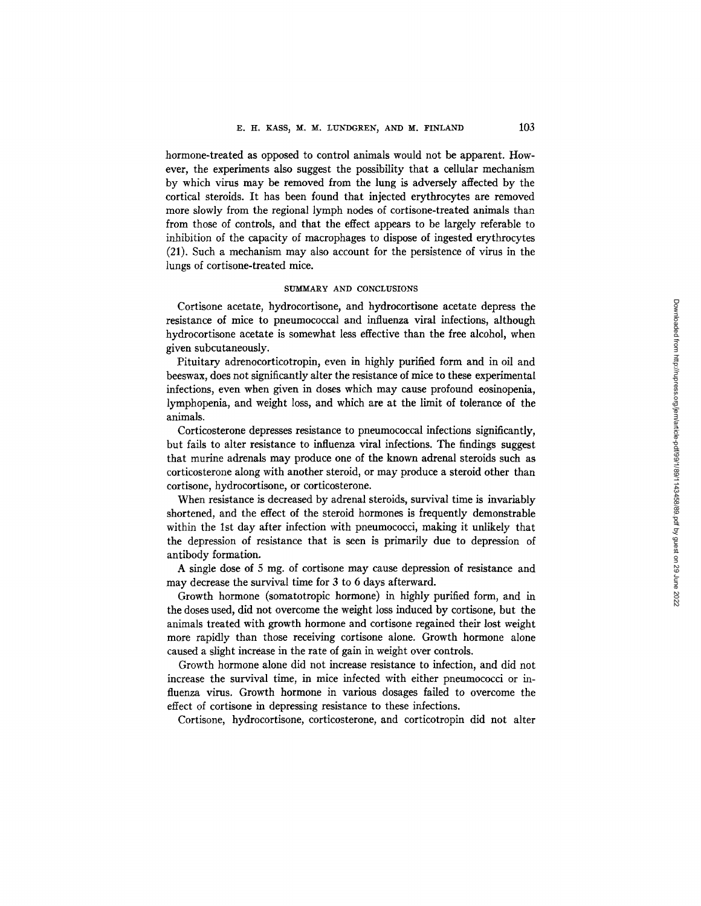hormone-treated as opposed to control animals would not be apparent. However, the experiments also suggest the possibility that a cellular mechanism by which virus may be removed from the lung is adversely affected by the cortical steroids. It has been found that injected erythrocytes are removed more slowly from the regional lymph nodes of cortisone-treated animals than from those of controls, and that the effect appears to be largely referable to inhibition of the capacity of macrophages to dispose of ingested erythrocytes (21). Such a mechanism may also account for the persistence of virus in the lungs of cortisone-treated mice.

#### SUMMARY AND CONCLUSIONS

Cortisone acetate, hydrocortisone, and hydrocortisone acetate depress the resistance of mice to pneumococcal and influenza viral infections, although hydrocortisone acetate is somewhat less effective than the free alcohol, when given subcutaneously.

Pituitary adrenocorticotropin, even in highly purified form and in oil and beeswax, does not significantly alter the resistance of mice to these experimental infections, even when given in doses which may cause profound eosinopenia, lymphopenia, and weight loss, and which are at the limit of tolerance of the animals.

Corticosterone depresses resistance to pneumococcal infections significantly, but fails to alter resistance to influenza viral infections. The findings suggest that murine adrenals may produce one of the known adrenal steroids such as corticosterone along with another steroid, or may produce a steroid other than cortisone, hydrocortisone, or corticosterone.

When resistance is decreased by adrenal steroids, survival time is invariably shortened, and the effect of the steroid hormones is frequently demonstrable within the 1st day after infection with pneumococci, making it unlikely that the depression of resistance that is seen is primarily due to depression of antibody formation.

A single dose of 5 mg. of cortisone may cause depression of resistance and may decrease the survival time for 3 to 6 days afterward.

Growth hormone (somatotropic hormone) in highly purified form, and in the doses used, did not overcome the weight loss induced by cortisone, but the animals treated with growth hormone and cortisone regained their lost weight more rapidly than those receiving cortisone alone. Growth hormone alone caused a slight increase in the rate of gain in weight over controls.

Growth hormone alone did not increase resistance to infection, and did not increase the survival time, in mice infected with either pneumococci or influenza virus. Growth hormone in various dosages failed to overcome the effect of cortisone in depressing resistance to these infections.

Cortisone, hydrocortisone, corticosterone, and corticotropin did not alter